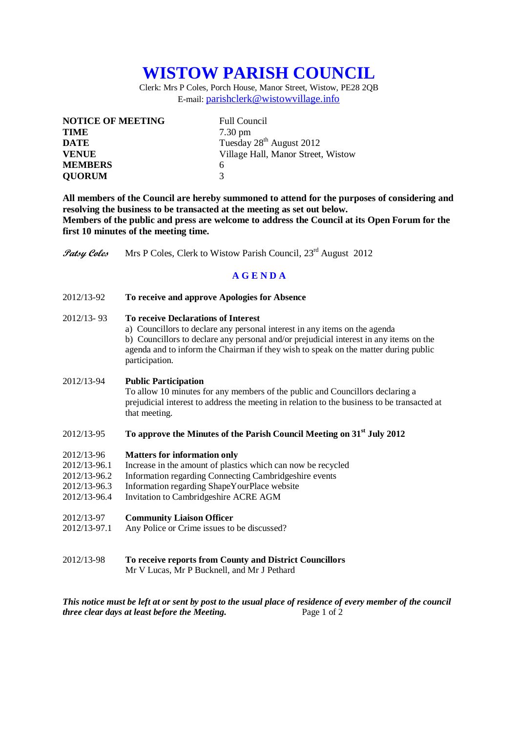# **WISTOW PARISH COUNCIL**

Clerk: Mrs P Coles, Porch House, Manor Street, Wistow, PE28 2QB E-mail: [parishclerk@wistowvillage.info](mailto:parishclerk@wistowvillage.info)

| <b>NOTICE OF MEETING</b> | <b>Full Council</b>                  |  |
|--------------------------|--------------------------------------|--|
| <b>TIME</b>              | $7.30 \text{ pm}$                    |  |
| <b>DATE</b>              | Tuesday 28 <sup>th</sup> August 2012 |  |
| <b>VENUE</b>             | Village Hall, Manor Street, Wistow   |  |
| <b>MEMBERS</b>           | 6                                    |  |
| <b>QUORUM</b>            | 3                                    |  |

**All members of the Council are hereby summoned to attend for the purposes of considering and resolving the business to be transacted at the meeting as set out below. Members of the public and press are welcome to address the Council at its Open Forum for the first 10 minutes of the meeting time.**

Patsy Coles Mrs P Coles, Clerk to Wistow Parish Council, 23<sup>rd</sup> August 2012

# **A G E N D A**

2012/13-92 **To receive and approve Apologies for Absence**

## 2012/13- 93 **To receive Declarations of Interest**

a) Councillors to declare any personal interest in any items on the agenda b) Councillors to declare any personal and/or prejudicial interest in any items on the agenda and to inform the Chairman if they wish to speak on the matter during public participation.

#### 2012/13-94 **Public Participation**

To allow 10 minutes for any members of the public and Councillors declaring a prejudicial interest to address the meeting in relation to the business to be transacted at that meeting.

## 2012/13-95 **To approve the Minutes of the Parish Council Meeting on 31st July 2012**

### 2012/13-96 **Matters for information only**

- 2012/13-96.1 Increase in the amount of plastics which can now be recycled
- 2012/13-96.2 Information regarding Connecting Cambridgeshire events
- 2012/13-96.3 Information regarding ShapeYourPlace website
- 2012/13-96.4 Invitation to Cambridgeshire ACRE AGM

## 2012/13-97 **Community Liaison Officer**

- 2012/13-97.1 Any Police or Crime issues to be discussed?
- 2012/13-98 **To receive reports from County and District Councillors**

Mr V Lucas, Mr P Bucknell, and Mr J Pethard

*This notice must be left at or sent by post to the usual place of residence of every member of the council three clear days at least before the Meeting.* Page 1 of 2